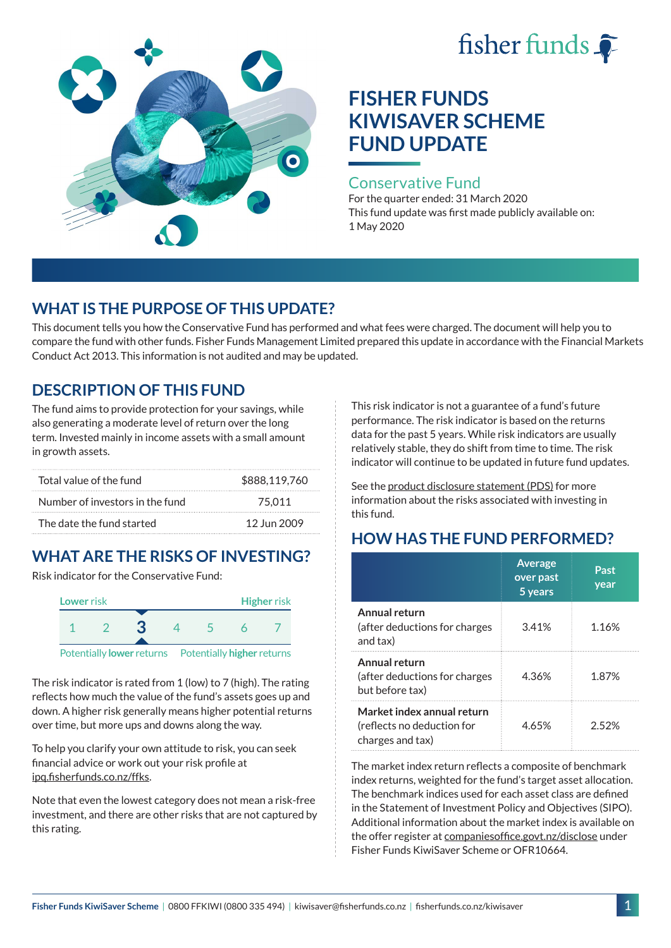# fisher funds  $\hat{\bullet}$



# **FISHER FUNDS KIWISAVER SCHEME FUND UPDATE**

#### Conservative Fund

For the quarter ended: 31 March 2020 This fund update was first made publicly available on: 1 May 2020

## **WHAT IS THE PURPOSE OF THIS UPDATE?**

This document tells you how the Conservative Fund has performed and what fees were charged. The document will help you to compare the fund with other funds. Fisher Funds Management Limited prepared this update in accordance with the Financial Markets Conduct Act 2013. This information is not audited and may be updated.

## **DESCRIPTION OF THIS FUND**

The fund aims to provide protection for your savings, while also generating a moderate level of return over the long term. Invested mainly in income assets with a small amount in growth assets.

| Total value of the fund         | \$888,119,760 |
|---------------------------------|---------------|
| Number of investors in the fund | 75.011        |
| The date the fund started       | 12 Jun 2009   |

## **WHAT ARE THE RISKS OF INVESTING?**

Risk indicator for the Conservative Fund:



The risk indicator is rated from 1 (low) to 7 (high). The rating reflects how much the value of the fund's assets goes up and down. A higher risk generally means higher potential returns over time, but more ups and downs along the way.

To help you clarify your own attitude to risk, you can seek financial advice or work out your risk profile at [ipq.fisherfunds.co.nz/ffks](https://ipq.fisherfunds.co.nz/ffks).

Note that even the lowest category does not mean a risk-free investment, and there are other risks that are not captured by this rating.

This risk indicator is not a guarantee of a fund's future performance. The risk indicator is based on the returns data for the past 5 years. While risk indicators are usually relatively stable, they do shift from time to time. The risk indicator will continue to be updated in future fund updates.

See the [product disclosure statement \(PDS\)](https://fisherfunds.co.nz/assets/PDS/Fisher-Funds-KiwiSaver-Scheme-PDS.pdf) for more information about the risks associated with investing in this fund.

## **HOW HAS THE FUND PERFORMED?**

|                                                                              | <b>Average</b><br>over past<br>5 years | Past<br>year |
|------------------------------------------------------------------------------|----------------------------------------|--------------|
| Annual return<br>(after deductions for charges<br>and tax)                   | 3.41%                                  | 1.16%        |
| Annual return<br>(after deductions for charges<br>but before tax)            | 4.36%                                  | 1.87%        |
| Market index annual return<br>(reflects no deduction for<br>charges and tax) | 4.65%                                  | 2.52%        |

The market index return reflects a composite of benchmark index returns, weighted for the fund's target asset allocation. The benchmark indices used for each asset class are defined in the Statement of Investment Policy and Objectives (SIPO). Additional information about the market index is available on the offer register at [companiesoffice.govt.nz/disclose](http://companiesoffice.govt.nz/disclose) under Fisher Funds KiwiSaver Scheme or OFR10664.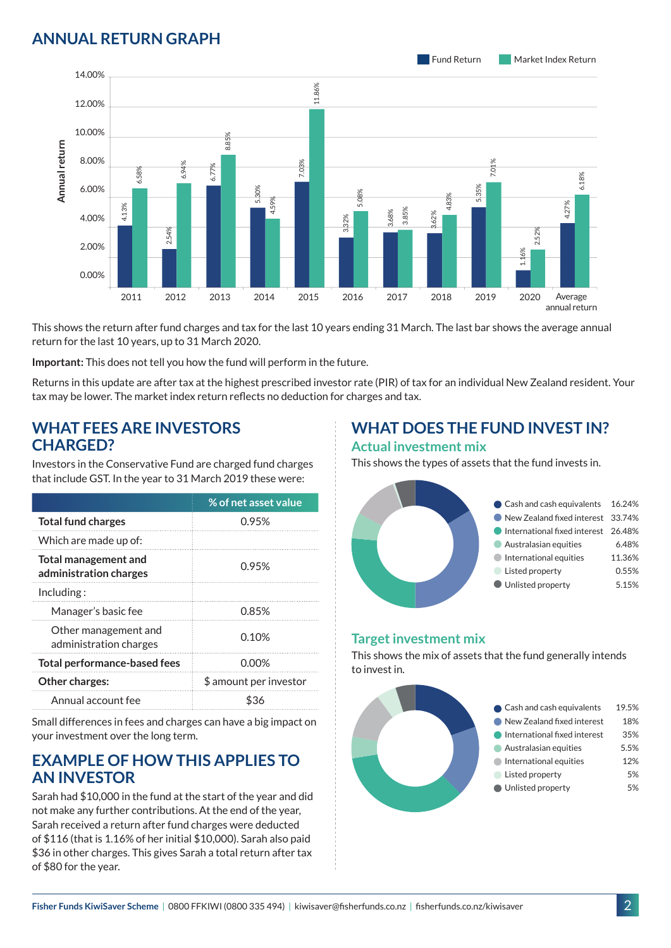## **ANNUAL RETURN GRAPH**



This shows the return after fund charges and tax for the last 10 years ending 31 March. The last bar shows the average annual return for the last 10 years, up to 31 March 2020.

**Important:** This does not tell you how the fund will perform in the future.

Returns in this update are after tax at the highest prescribed investor rate (PIR) of tax for an individual New Zealand resident. Your tax may be lower. The market index return reflects no deduction for charges and tax.

#### **WHAT FEES ARE INVESTORS CHARGED?**

Investors in the Conservative Fund are charged fund charges that include GST. In the year to 31 March 2019 these were:

|                                                       | % of net asset value   |
|-------------------------------------------------------|------------------------|
| <b>Total fund charges</b>                             | 0.95%                  |
| Which are made up of:                                 |                        |
| <b>Total management and</b><br>administration charges | 0.95%                  |
| Inding:                                               |                        |
| Manager's basic fee                                   | 0.85%                  |
| Other management and<br>administration charges        | 0.10%                  |
| Total performance-based fees                          | 0.00%                  |
| <b>Other charges:</b>                                 | \$ amount per investor |
| Annual account fee                                    |                        |

Small differences in fees and charges can have a big impact on your investment over the long term.

#### **EXAMPLE OF HOW THIS APPLIES TO AN INVESTOR**

Sarah had \$10,000 in the fund at the start of the year and did not make any further contributions. At the end of the year, Sarah received a return after fund charges were deducted of \$116 (that is 1.16% of her initial \$10,000). Sarah also paid \$36 in other charges. This gives Sarah a total return after tax of \$80 for the year.

# **WHAT DOES THE FUND INVEST IN?**

#### **Actual investment mix**

This shows the types of assets that the fund invests in.



#### **Target investment mix**

This shows the mix of assets that the fund generally intends to invest in.